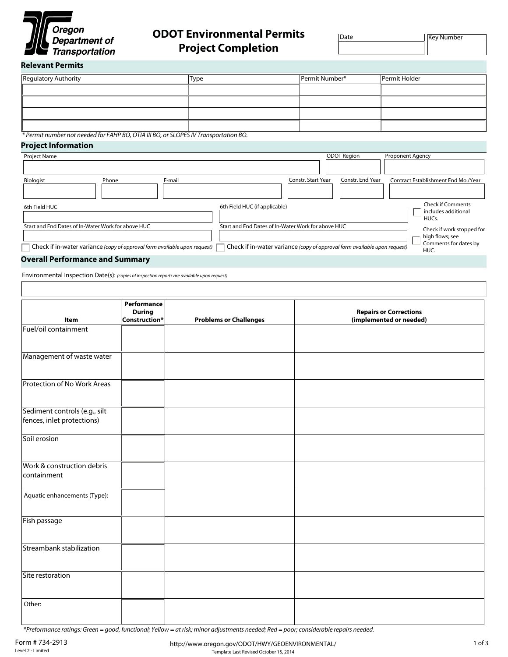

## **ODOT Environmental Permits Project Completion**

Key Number **Date** 

## **Relevant Permits**

| <b>Regulatory Authority</b>                                                          | Type | Permit Number* | Permit Holder |
|--------------------------------------------------------------------------------------|------|----------------|---------------|
|                                                                                      |      |                |               |
|                                                                                      |      |                |               |
|                                                                                      |      |                |               |
|                                                                                      |      |                |               |
| * Permit number not needed for FAHP BO, OTIA III BO, or SLOPES IV Transportation BO. |      |                |               |

## **Project Information**

| <b>Project Name</b>                                                                       |                                                                           |                    | <b>ODOT Region</b> | <b>Proponent Agency</b> |                                                  |
|-------------------------------------------------------------------------------------------|---------------------------------------------------------------------------|--------------------|--------------------|-------------------------|--------------------------------------------------|
|                                                                                           |                                                                           |                    |                    |                         |                                                  |
| Biologist<br>Phone<br>E-mail                                                              |                                                                           | Constr. Start Year | Constr. End Year   |                         | Contract Establishment End Mo./Year              |
|                                                                                           |                                                                           |                    |                    |                         |                                                  |
| 6th Field HUC                                                                             | 6th Field HUC (if applicable)                                             |                    |                    |                         | <b>Check if Comments</b>                         |
|                                                                                           |                                                                           |                    |                    |                         | includes additional<br>HUCs.                     |
| Start and End Dates of In-Water Work for above HUC                                        | Start and End Dates of In-Water Work for above HUC                        |                    |                    |                         | Check if work stopped for                        |
| $\vert$ Check if in-water variance (copy of approval form available upon request) $\vert$ | Check if in-water variance (copy of approval form available upon request) |                    |                    |                         | high flows; see<br>Comments for dates by<br>HUC. |
| <b>Overall Performance and Summary</b>                                                    |                                                                           |                    |                    |                         |                                                  |

Environmental Inspection Date(s): *(copies of inspection reports are available upon request)*

|                                           | Performance   |                               |                               |
|-------------------------------------------|---------------|-------------------------------|-------------------------------|
|                                           | <b>During</b> |                               | <b>Repairs or Corrections</b> |
| Item                                      | Construction* | <b>Problems or Challenges</b> | (implemented or needed)       |
| Fuel/oil containment                      |               |                               |                               |
| Management of waste water                 |               |                               |                               |
| Protection of No Work Areas               |               |                               |                               |
| Sediment controls (e.g., silt             |               |                               |                               |
| fences, inlet protections)                |               |                               |                               |
| Soil erosion                              |               |                               |                               |
| Work & construction debris<br>containment |               |                               |                               |
| Aquatic enhancements (Type):              |               |                               |                               |
| Fish passage                              |               |                               |                               |
| Streambank stabilization                  | ▼             |                               |                               |
| Site restoration                          |               |                               |                               |
| Other:                                    |               |                               |                               |

*\*Preformance ratings: Green = good, functional; Yellow = at risk; minor adjustments needed; Red = poor; considerable repairs needed.*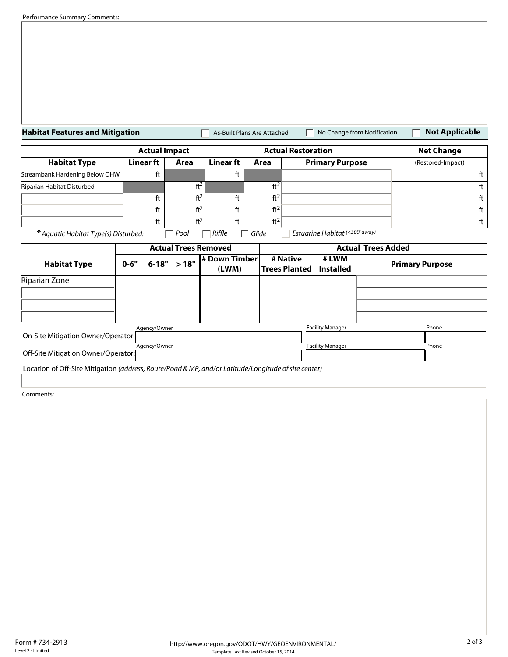## Habitat Features and Mitigation **Accord As-Built Plans Are Attached** Mo Change from Notification **Not Applicable**

No Change from Notification

|                                | <b>Actual Impact</b> |                 | <b>Actual Restoration</b> |                 |                        | <b>Net Change</b> |
|--------------------------------|----------------------|-----------------|---------------------------|-----------------|------------------------|-------------------|
| <b>Habitat Type</b>            | Linear ft            | Area            | Linear ft                 | Area            | <b>Primary Purpose</b> | (Restored-Impact) |
| Streambank Hardening Below OHW |                      |                 | ft                        |                 |                        |                   |
| Riparian Habitat Disturbed     |                      | ft <sup>2</sup> |                           | ft <sup>2</sup> |                        |                   |
|                                |                      | ft <sup>2</sup> | ft                        | ft <sup>2</sup> |                        |                   |
|                                |                      | ft <sup>2</sup> | ft                        | ft <sup>2</sup> |                        |                   |
|                                |                      | ft <sup>2</sup> | ft                        | ft <sup>2</sup> |                        |                   |

*\* Aquatic Habitat Type(s) Disturbed: Pool Riffle Glide Estuarine Habitat (<300' away)*

|                                     |              |           |      | <b>Actual Trees Removed</b>  | <b>Actual Trees Added</b>        |                           |                          |  |  |
|-------------------------------------|--------------|-----------|------|------------------------------|----------------------------------|---------------------------|--------------------------|--|--|
| <b>Habitat Type</b>                 | $0 - 6"$     | $6 - 18"$ | >18" | <b>#Down Timber</b><br>(LWM) | # Native<br><b>Trees Planted</b> | # LWM<br><b>Installed</b> | <b>Primary Purpose</b>   |  |  |
| Riparian Zone                       |              |           |      |                              |                                  |                           |                          |  |  |
|                                     |              |           |      |                              |                                  |                           |                          |  |  |
|                                     |              |           |      |                              |                                  |                           | $\overline{\phantom{0}}$ |  |  |
|                                     |              |           |      |                              |                                  |                           | $\overline{\phantom{a}}$ |  |  |
| Agency/Owner                        |              |           |      |                              |                                  | <b>Facility Manager</b>   | Phone                    |  |  |
| On-Site Mitigation Owner/Operator:  |              |           |      |                              |                                  |                           |                          |  |  |
| Off-Site Mitigation Owner/Operator: | Agency/Owner |           |      |                              | <b>Facility Manager</b>          | Phone                     |                          |  |  |

Location of Off-Site Mitigation *(address, Route/Road & MP, and/or Latitude/Longitude of site center)*

Comments: